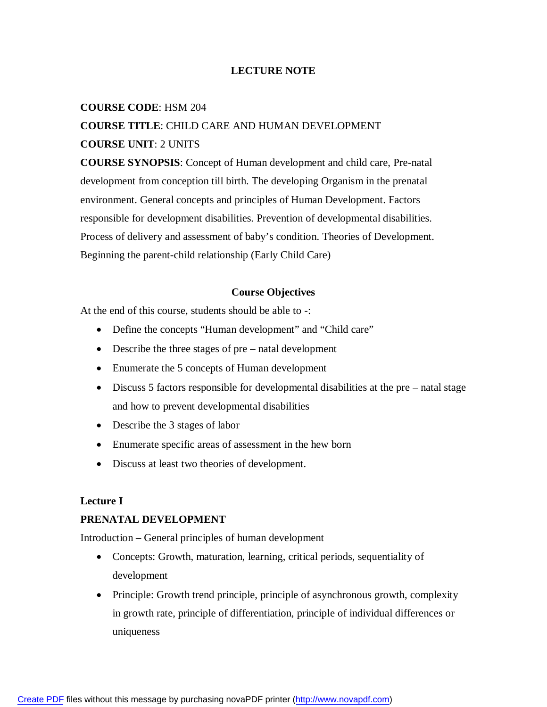## **LECTURE NOTE**

#### **COURSE CODE**: HSM 204

# **COURSE TITLE**: CHILD CARE AND HUMAN DEVELOPMENT **COURSE UNIT**: 2 UNITS

**COURSE SYNOPSIS**: Concept of Human development and child care, Pre-natal development from conception till birth. The developing Organism in the prenatal environment. General concepts and principles of Human Development. Factors responsible for development disabilities. Prevention of developmental disabilities. Process of delivery and assessment of baby's condition. Theories of Development. Beginning the parent-child relationship (Early Child Care)

#### **Course Objectives**

At the end of this course, students should be able to -:

- Define the concepts "Human development" and "Child care"
- Describe the three stages of pre natal development
- Enumerate the 5 concepts of Human development
- Discuss 5 factors responsible for developmental disabilities at the pre natal stage and how to prevent developmental disabilities
- Describe the 3 stages of labor
- Enumerate specific areas of assessment in the hew born
- Discuss at least two theories of development.

#### **Lecture I**

#### **PRENATAL DEVELOPMENT**

Introduction – General principles of human development

- Concepts: Growth, maturation, learning, critical periods, sequentiality of development
- Principle: Growth trend principle, principle of asynchronous growth, complexity in growth rate, principle of differentiation, principle of individual differences or uniqueness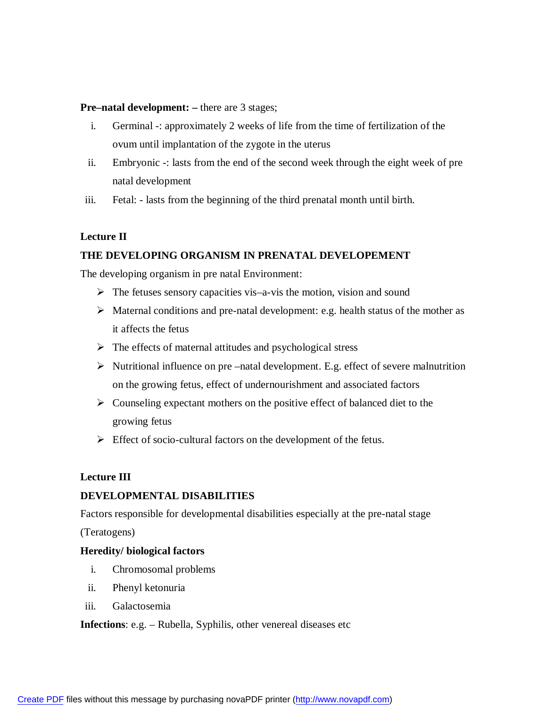#### **Pre–natal development: –** there are 3 stages;

- i. Germinal -: approximately 2 weeks of life from the time of fertilization of the ovum until implantation of the zygote in the uterus
- ii. Embryonic -: lasts from the end of the second week through the eight week of pre natal development
- iii. Fetal: lasts from the beginning of the third prenatal month until birth.

# **Lecture II**

## **THE DEVELOPING ORGANISM IN PRENATAL DEVELOPEMENT**

The developing organism in pre natal Environment:

- $\triangleright$  The fetuses sensory capacities vis–a-vis the motion, vision and sound
- $\triangleright$  Maternal conditions and pre-natal development: e.g. health status of the mother as it affects the fetus
- $\triangleright$  The effects of maternal attitudes and psychological stress
- $\triangleright$  Nutritional influence on pre –natal development. E.g. effect of severe malnutrition on the growing fetus, effect of undernourishment and associated factors
- $\triangleright$  Counseling expectant mothers on the positive effect of balanced diet to the growing fetus
- $\triangleright$  Effect of socio-cultural factors on the development of the fetus.

## **Lecture III**

## **DEVELOPMENTAL DISABILITIES**

Factors responsible for developmental disabilities especially at the pre-natal stage

(Teratogens)

## **Heredity/ biological factors**

- i. Chromosomal problems
- ii. Phenyl ketonuria
- iii. Galactosemia

**Infections**: e.g. – Rubella, Syphilis, other venereal diseases etc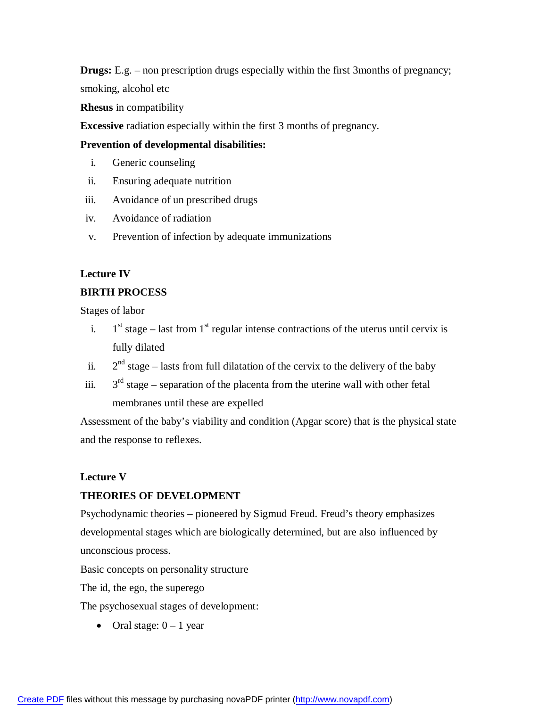**Drugs:** E.g. – non prescription drugs especially within the first 3months of pregnancy; smoking, alcohol etc

**Rhesus** in compatibility

**Excessive** radiation especially within the first 3 months of pregnancy.

## **Prevention of developmental disabilities:**

- i. Generic counseling
- ii. Ensuring adequate nutrition
- iii. Avoidance of un prescribed drugs
- iv. Avoidance of radiation
- v. Prevention of infection by adequate immunizations

# **Lecture IV**

# **BIRTH PROCESS**

Stages of labor

- i.  $1<sup>st</sup> stage – last from 1<sup>st</sup> regular intense contractions of the uterus until cervix is$ fully dilated
- ii.  $2<sup>nd</sup> stage – lasts from full dilatation of the cervix to the delivery of the baby$
- iii.  $3<sup>rd</sup>$  stage – separation of the placenta from the uterine wall with other fetal membranes until these are expelled

Assessment of the baby's viability and condition (Apgar score) that is the physical state and the response to reflexes.

# **Lecture V**

# **THEORIES OF DEVELOPMENT**

Psychodynamic theories – pioneered by Sigmud Freud. Freud's theory emphasizes developmental stages which are biologically determined, but are also influenced by unconscious process.

Basic concepts on personality structure

The id, the ego, the superego

The psychosexual stages of development:

• Oral stage:  $0 - 1$  year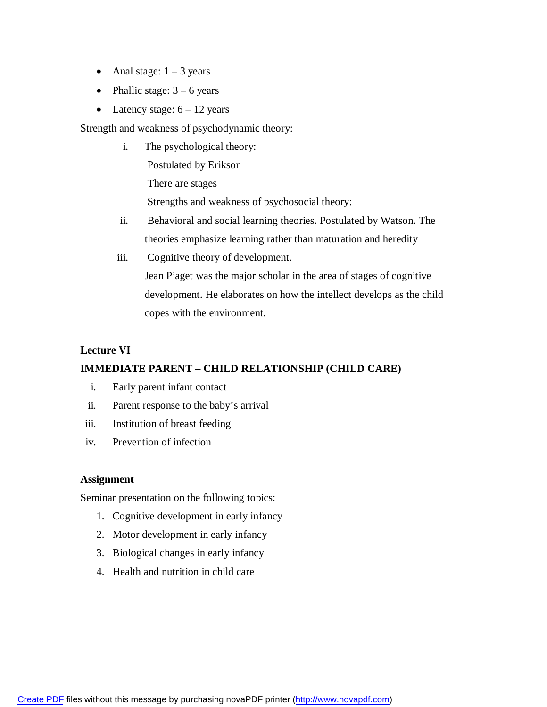- Anal stage:  $1 3$  years
- Phallic stage:  $3 6$  years
- Latency stage:  $6 12$  years

Strength and weakness of psychodynamic theory:

- i. The psychological theory: Postulated by Erikson There are stages Strengths and weakness of psychosocial theory:
- ii. Behavioral and social learning theories. Postulated by Watson. The theories emphasize learning rather than maturation and heredity
- iii. Cognitive theory of development. Jean Piaget was the major scholar in the area of stages of cognitive development. He elaborates on how the intellect develops as the child copes with the environment.

# **Lecture VI**

# **IMMEDIATE PARENT – CHILD RELATIONSHIP (CHILD CARE)**

- i. Early parent infant contact
- ii. Parent response to the baby's arrival
- iii. Institution of breast feeding
- iv. Prevention of infection

## **Assignment**

Seminar presentation on the following topics:

- 1. Cognitive development in early infancy
- 2. Motor development in early infancy
- 3. Biological changes in early infancy
- 4. Health and nutrition in child care